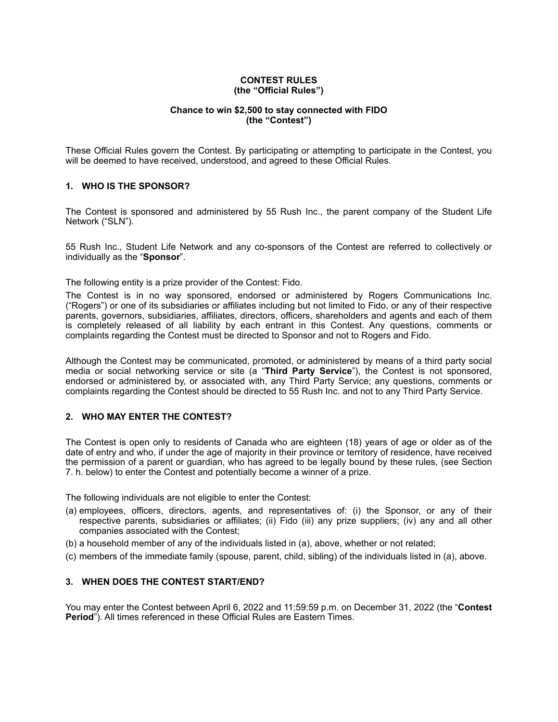### **CONTEST RULES (the "Official Rules")**

# **Chance to win \$2,500 to stay connected with FIDO (the "Contest")**

These Official Rules govern the Contest. By participating or attempting to participate in the Contest, you will be deemed to have received, understood, and agreed to these Official Rules.

## **1. WHO IS THE SPONSOR?**

The Contest is sponsored and administered by 55 Rush Inc., the parent company of the Student Life Network ("SLN").

55 Rush Inc., Student Life Network and any co-sponsors of the Contest are referred to collectively or individually as the "**Sponsor**".

The following entity is a prize provider of the Contest: Fido.

The Contest is in no way sponsored, endorsed or administered by Rogers Communications Inc. ("Rogers") or one of its subsidiaries or affiliates including but not limited to Fido, or any of their respective parents, governors, subsidiaries, affiliates, directors, officers, shareholders and agents and each of them is completely released of all liability by each entrant in this Contest. Any questions, comments or complaints regarding the Contest must be directed to Sponsor and not to Rogers and Fido.

Although the Contest may be communicated, promoted, or administered by means of a third party social media or social networking service or site (a "**Third Party Service**"), the Contest is not sponsored, endorsed or administered by, or associated with, any Third Party Service; any questions, comments or complaints regarding the Contest should be directed to 55 Rush Inc. and not to any Third Party Service.

# **2. WHO MAY ENTER THE CONTEST?**

The Contest is open only to residents of Canada who are eighteen (18) years of age or older as of the date of entry and who, if under the age of majority in their province or territory of residence, have received the permission of a parent or guardian, who has agreed to be legally bound by these rules, (see Section 7. h. below) to enter the Contest and potentially become a winner of a prize.

The following individuals are not eligible to enter the Contest:

- (a) employees, officers, directors, agents, and representatives of: (i) the Sponsor, or any of their respective parents, subsidiaries or affiliates; (ii) Fido (iii) any prize suppliers; (iv) any and all other companies associated with the Contest;
- (b) a household member of any of the individuals listed in (a), above, whether or not related;
- (c) members of the immediate family (spouse, parent, child, sibling) of the individuals listed in (a), above.

## **3. WHEN DOES THE CONTEST START/END?**

You may enter the Contest between April 6, 2022 and 11:59:59 p.m. on December 31, 2022 (the "**Contest Period**"). All times referenced in these Official Rules are Eastern Times.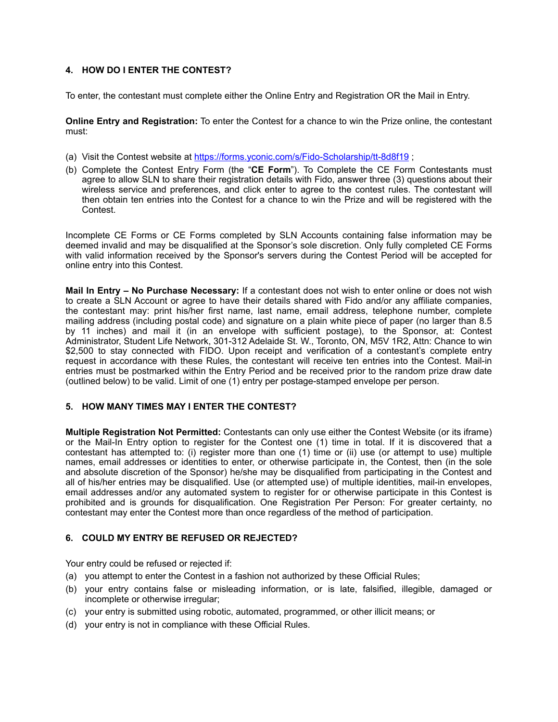# **4. HOW DO I ENTER THE CONTEST?**

To enter, the contestant must complete either the Online Entry and Registration OR the Mail in Entry.

**Online Entry and Registration:** To enter the Contest for a chance to win the Prize online, the contestant must:

- (a) Visit the Contest website at<https://forms.yconic.com/s/Fido-Scholarship/tt-8d8f19>;
- (b) Complete the Contest Entry Form (the "**CE Form**"). To Complete the CE Form Contestants must agree to allow SLN to share their registration details with Fido, answer three (3) questions about their wireless service and preferences, and click enter to agree to the contest rules. The contestant will then obtain ten entries into the Contest for a chance to win the Prize and will be registered with the Contest.

Incomplete CE Forms or CE Forms completed by SLN Accounts containing false information may be deemed invalid and may be disqualified at the Sponsor's sole discretion. Only fully completed CE Forms with valid information received by the Sponsor's servers during the Contest Period will be accepted for online entry into this Contest.

**Mail In Entry – No Purchase Necessary:** If a contestant does not wish to enter online or does not wish to create a SLN Account or agree to have their details shared with Fido and/or any affiliate companies, the contestant may: print his/her first name, last name, email address, telephone number, complete mailing address (including postal code) and signature on a plain white piece of paper (no larger than 8.5 by 11 inches) and mail it (in an envelope with sufficient postage), to the Sponsor, at: Contest Administrator, Student Life Network, 301-312 Adelaide St. W., Toronto, ON, M5V 1R2, Attn: Chance to win \$2,500 to stay connected with FIDO. Upon receipt and verification of a contestant's complete entry request in accordance with these Rules, the contestant will receive ten entries into the Contest. Mail-in entries must be postmarked within the Entry Period and be received prior to the random prize draw date (outlined below) to be valid. Limit of one (1) entry per postage-stamped envelope per person.

# **5. HOW MANY TIMES MAY I ENTER THE CONTEST?**

**Multiple Registration Not Permitted:** Contestants can only use either the Contest Website (or its iframe) or the Mail-In Entry option to register for the Contest one (1) time in total. If it is discovered that a contestant has attempted to: (i) register more than one (1) time or (ii) use (or attempt to use) multiple names, email addresses or identities to enter, or otherwise participate in, the Contest, then (in the sole and absolute discretion of the Sponsor) he/she may be disqualified from participating in the Contest and all of his/her entries may be disqualified. Use (or attempted use) of multiple identities, mail-in envelopes, email addresses and/or any automated system to register for or otherwise participate in this Contest is prohibited and is grounds for disqualification. One Registration Per Person: For greater certainty, no contestant may enter the Contest more than once regardless of the method of participation.

# **6. COULD MY ENTRY BE REFUSED OR REJECTED?**

Your entry could be refused or rejected if:

- (a) you attempt to enter the Contest in a fashion not authorized by these Official Rules;
- (b) your entry contains false or misleading information, or is late, falsified, illegible, damaged or incomplete or otherwise irregular;
- (c) your entry is submitted using robotic, automated, programmed, or other illicit means; or
- (d) your entry is not in compliance with these Official Rules.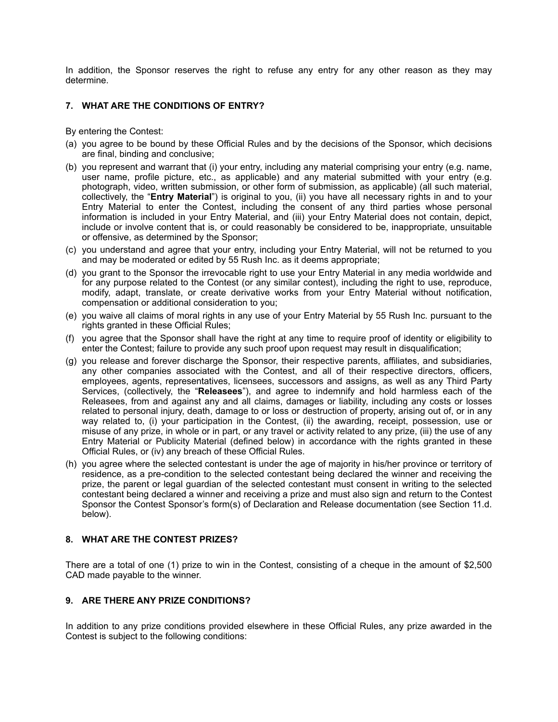In addition, the Sponsor reserves the right to refuse any entry for any other reason as they may determine.

# **7. WHAT ARE THE CONDITIONS OF ENTRY?**

By entering the Contest:

- (a) you agree to be bound by these Official Rules and by the decisions of the Sponsor, which decisions are final, binding and conclusive;
- (b) you represent and warrant that (i) your entry, including any material comprising your entry (e.g. name, user name, profile picture, etc., as applicable) and any material submitted with your entry (e.g. photograph, video, written submission, or other form of submission, as applicable) (all such material, collectively, the "**Entry Material**") is original to you, (ii) you have all necessary rights in and to your Entry Material to enter the Contest, including the consent of any third parties whose personal information is included in your Entry Material, and (iii) your Entry Material does not contain, depict, include or involve content that is, or could reasonably be considered to be, inappropriate, unsuitable or offensive, as determined by the Sponsor;
- (c) you understand and agree that your entry, including your Entry Material, will not be returned to you and may be moderated or edited by 55 Rush Inc. as it deems appropriate;
- (d) you grant to the Sponsor the irrevocable right to use your Entry Material in any media worldwide and for any purpose related to the Contest (or any similar contest), including the right to use, reproduce, modify, adapt, translate, or create derivative works from your Entry Material without notification, compensation or additional consideration to you;
- (e) you waive all claims of moral rights in any use of your Entry Material by 55 Rush Inc. pursuant to the rights granted in these Official Rules;
- (f) you agree that the Sponsor shall have the right at any time to require proof of identity or eligibility to enter the Contest; failure to provide any such proof upon request may result in disqualification;
- (g) you release and forever discharge the Sponsor, their respective parents, affiliates, and subsidiaries, any other companies associated with the Contest, and all of their respective directors, officers, employees, agents, representatives, licensees, successors and assigns, as well as any Third Party Services, (collectively, the "**Releasees**"), and agree to indemnify and hold harmless each of the Releasees, from and against any and all claims, damages or liability, including any costs or losses related to personal injury, death, damage to or loss or destruction of property, arising out of, or in any way related to, (i) your participation in the Contest, (ii) the awarding, receipt, possession, use or misuse of any prize, in whole or in part, or any travel or activity related to any prize, (iii) the use of any Entry Material or Publicity Material (defined below) in accordance with the rights granted in these Official Rules, or (iv) any breach of these Official Rules.
- (h) you agree where the selected contestant is under the age of majority in his/her province or territory of residence, as a pre-condition to the selected contestant being declared the winner and receiving the prize, the parent or legal guardian of the selected contestant must consent in writing to the selected contestant being declared a winner and receiving a prize and must also sign and return to the Contest Sponsor the Contest Sponsor's form(s) of Declaration and Release documentation (see Section 11.d. below).

### **8. WHAT ARE THE CONTEST PRIZES?**

There are a total of one (1) prize to win in the Contest, consisting of a cheque in the amount of \$2,500 CAD made payable to the winner.

### **9. ARE THERE ANY PRIZE CONDITIONS?**

In addition to any prize conditions provided elsewhere in these Official Rules, any prize awarded in the Contest is subject to the following conditions: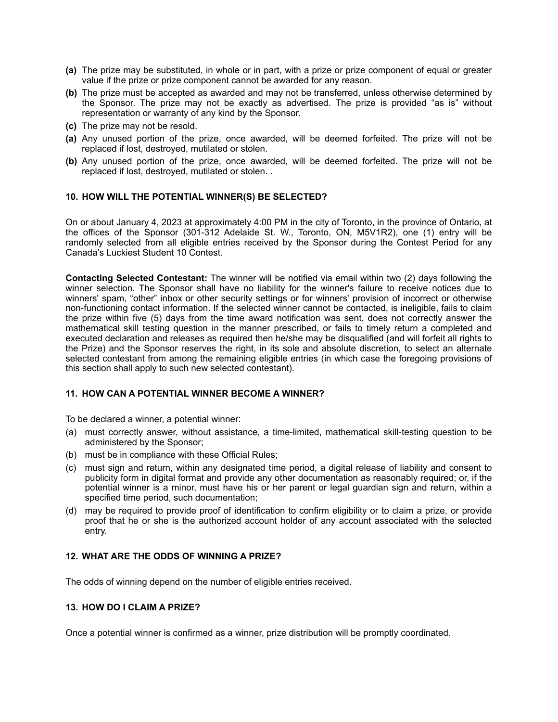- **(a)** The prize may be substituted, in whole or in part, with a prize or prize component of equal or greater value if the prize or prize component cannot be awarded for any reason.
- **(b)** The prize must be accepted as awarded and may not be transferred, unless otherwise determined by the Sponsor. The prize may not be exactly as advertised. The prize is provided "as is" without representation or warranty of any kind by the Sponsor.
- **(c)** The prize may not be resold.
- **(a)** Any unused portion of the prize, once awarded, will be deemed forfeited. The prize will not be replaced if lost, destroyed, mutilated or stolen.
- **(b)** Any unused portion of the prize, once awarded, will be deemed forfeited. The prize will not be replaced if lost, destroyed, mutilated or stolen. .

## **10. HOW WILL THE POTENTIAL WINNER(S) BE SELECTED?**

On or about January 4, 2023 at approximately 4:00 PM in the city of Toronto, in the province of Ontario, at the offices of the Sponsor (301-312 Adelaide St. W., Toronto, ON, M5V1R2), one (1) entry will be randomly selected from all eligible entries received by the Sponsor during the Contest Period for any Canada's Luckiest Student 10 Contest.

**Contacting Selected Contestant:** The winner will be notified via email within two (2) days following the winner selection. The Sponsor shall have no liability for the winner's failure to receive notices due to winners' spam, "other" inbox or other security settings or for winners' provision of incorrect or otherwise non-functioning contact information. If the selected winner cannot be contacted, is ineligible, fails to claim the prize within five (5) days from the time award notification was sent, does not correctly answer the mathematical skill testing question in the manner prescribed, or fails to timely return a completed and executed declaration and releases as required then he/she may be disqualified (and will forfeit all rights to the Prize) and the Sponsor reserves the right, in its sole and absolute discretion, to select an alternate selected contestant from among the remaining eligible entries (in which case the foregoing provisions of this section shall apply to such new selected contestant).

### **11. HOW CAN A POTENTIAL WINNER BECOME A WINNER?**

To be declared a winner, a potential winner:

- (a) must correctly answer, without assistance, a time-limited, mathematical skill-testing question to be administered by the Sponsor;
- (b) must be in compliance with these Official Rules;
- (c) must sign and return, within any designated time period, a digital release of liability and consent to publicity form in digital format and provide any other documentation as reasonably required; or, if the potential winner is a minor, must have his or her parent or legal guardian sign and return, within a specified time period, such documentation;
- (d) may be required to provide proof of identification to confirm eligibility or to claim a prize, or provide proof that he or she is the authorized account holder of any account associated with the selected entry.

## **12. WHAT ARE THE ODDS OF WINNING A PRIZE?**

The odds of winning depend on the number of eligible entries received.

### **13. HOW DO I CLAIM A PRIZE?**

Once a potential winner is confirmed as a winner, prize distribution will be promptly coordinated.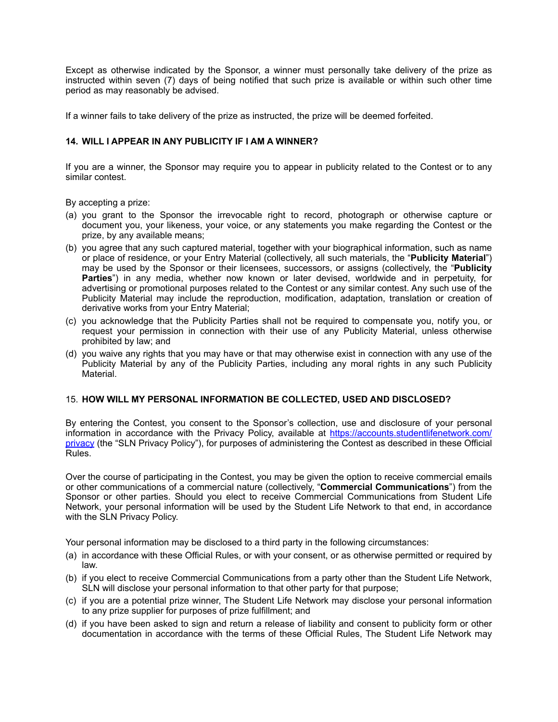Except as otherwise indicated by the Sponsor, a winner must personally take delivery of the prize as instructed within seven (7) days of being notified that such prize is available or within such other time period as may reasonably be advised.

If a winner fails to take delivery of the prize as instructed, the prize will be deemed forfeited.

# **14. WILL I APPEAR IN ANY PUBLICITY IF I AM A WINNER?**

If you are a winner, the Sponsor may require you to appear in publicity related to the Contest or to any similar contest.

By accepting a prize:

- (a) you grant to the Sponsor the irrevocable right to record, photograph or otherwise capture or document you, your likeness, your voice, or any statements you make regarding the Contest or the prize, by any available means;
- (b) you agree that any such captured material, together with your biographical information, such as name or place of residence, or your Entry Material (collectively, all such materials, the "**Publicity Material**") may be used by the Sponsor or their licensees, successors, or assigns (collectively, the "**Publicity Parties**") in any media, whether now known or later devised, worldwide and in perpetuity, for advertising or promotional purposes related to the Contest or any similar contest. Any such use of the Publicity Material may include the reproduction, modification, adaptation, translation or creation of derivative works from your Entry Material;
- (c) you acknowledge that the Publicity Parties shall not be required to compensate you, notify you, or request your permission in connection with their use of any Publicity Material, unless otherwise prohibited by law; and
- (d) you waive any rights that you may have or that may otherwise exist in connection with any use of the Publicity Material by any of the Publicity Parties, including any moral rights in any such Publicity Material.

### 15. **HOW WILL MY PERSONAL INFORMATION BE COLLECTED, USED AND DISCLOSED?**

By entering the Contest, you consent to the Sponsor's collection, use and disclosure of your personal information in accordance with the Privacy Policy, available at [https://accounts.studentlifenetwork.com/](https://accounts.studentlifenetwork.com/privacy) [privacy](https://accounts.studentlifenetwork.com/privacy) (the "SLN Privacy Policy"), for purposes of administering the Contest as described in these Official Rules.

Over the course of participating in the Contest, you may be given the option to receive commercial emails or other communications of a commercial nature (collectively, "**Commercial Communications**") from the Sponsor or other parties. Should you elect to receive Commercial Communications from Student Life Network, your personal information will be used by the Student Life Network to that end, in accordance with the SLN Privacy Policy.

Your personal information may be disclosed to a third party in the following circumstances:

- (a) in accordance with these Official Rules, or with your consent, or as otherwise permitted or required by law.
- (b) if you elect to receive Commercial Communications from a party other than the Student Life Network, SLN will disclose your personal information to that other party for that purpose;
- (c) if you are a potential prize winner, The Student Life Network may disclose your personal information to any prize supplier for purposes of prize fulfillment; and
- (d) if you have been asked to sign and return a release of liability and consent to publicity form or other documentation in accordance with the terms of these Official Rules, The Student Life Network may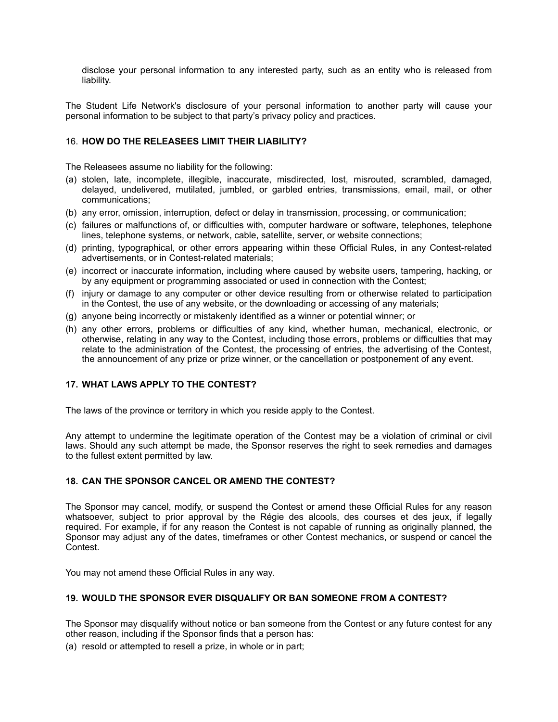disclose your personal information to any interested party, such as an entity who is released from liability.

The Student Life Network's disclosure of your personal information to another party will cause your personal information to be subject to that party's privacy policy and practices.

# 16. **HOW DO THE RELEASEES LIMIT THEIR LIABILITY?**

The Releasees assume no liability for the following:

- (a) stolen, late, incomplete, illegible, inaccurate, misdirected, lost, misrouted, scrambled, damaged, delayed, undelivered, mutilated, jumbled, or garbled entries, transmissions, email, mail, or other communications;
- (b) any error, omission, interruption, defect or delay in transmission, processing, or communication;
- (c) failures or malfunctions of, or difficulties with, computer hardware or software, telephones, telephone lines, telephone systems, or network, cable, satellite, server, or website connections;
- (d) printing, typographical, or other errors appearing within these Official Rules, in any Contest-related advertisements, or in Contest-related materials;
- (e) incorrect or inaccurate information, including where caused by website users, tampering, hacking, or by any equipment or programming associated or used in connection with the Contest;
- (f) injury or damage to any computer or other device resulting from or otherwise related to participation in the Contest, the use of any website, or the downloading or accessing of any materials;
- (g) anyone being incorrectly or mistakenly identified as a winner or potential winner; or
- (h) any other errors, problems or difficulties of any kind, whether human, mechanical, electronic, or otherwise, relating in any way to the Contest, including those errors, problems or difficulties that may relate to the administration of the Contest, the processing of entries, the advertising of the Contest, the announcement of any prize or prize winner, or the cancellation or postponement of any event.

### **17. WHAT LAWS APPLY TO THE CONTEST?**

The laws of the province or territory in which you reside apply to the Contest.

Any attempt to undermine the legitimate operation of the Contest may be a violation of criminal or civil laws. Should any such attempt be made, the Sponsor reserves the right to seek remedies and damages to the fullest extent permitted by law.

# **18. CAN THE SPONSOR CANCEL OR AMEND THE CONTEST?**

The Sponsor may cancel, modify, or suspend the Contest or amend these Official Rules for any reason whatsoever, subject to prior approval by the Régie des alcools, des courses et des jeux, if legally required. For example, if for any reason the Contest is not capable of running as originally planned, the Sponsor may adjust any of the dates, timeframes or other Contest mechanics, or suspend or cancel the Contest.

You may not amend these Official Rules in any way.

# **19. WOULD THE SPONSOR EVER DISQUALIFY OR BAN SOMEONE FROM A CONTEST?**

The Sponsor may disqualify without notice or ban someone from the Contest or any future contest for any other reason, including if the Sponsor finds that a person has:

(a) resold or attempted to resell a prize, in whole or in part;